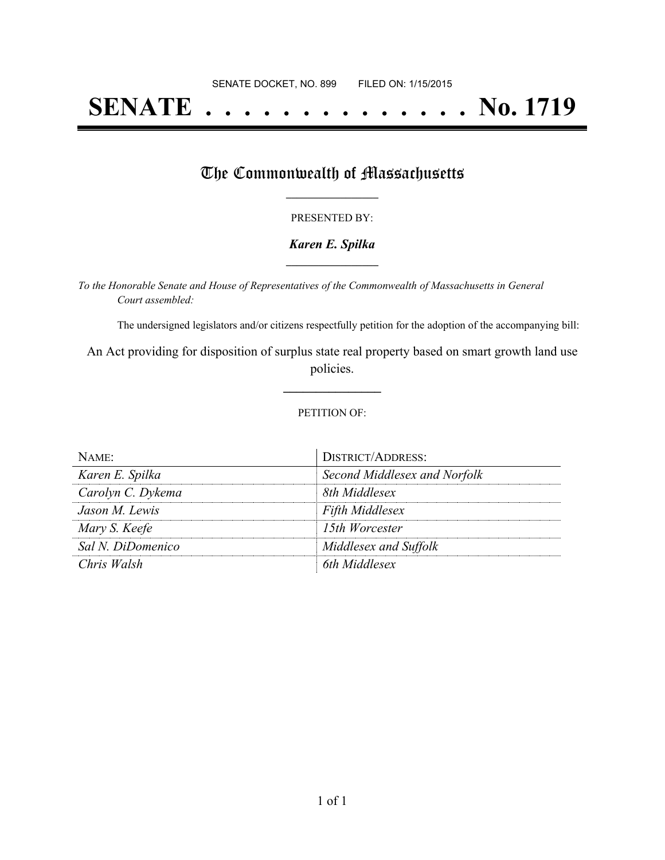# **SENATE . . . . . . . . . . . . . . No. 1719**

## The Commonwealth of Massachusetts

#### PRESENTED BY:

#### *Karen E. Spilka* **\_\_\_\_\_\_\_\_\_\_\_\_\_\_\_\_\_**

*To the Honorable Senate and House of Representatives of the Commonwealth of Massachusetts in General Court assembled:*

The undersigned legislators and/or citizens respectfully petition for the adoption of the accompanying bill:

An Act providing for disposition of surplus state real property based on smart growth land use policies.

**\_\_\_\_\_\_\_\_\_\_\_\_\_\_\_**

#### PETITION OF:

| NAME              | DISTRICT/ADDRESS:            |
|-------------------|------------------------------|
| Karen E. Spilka   | Second Middlesex and Norfolk |
| Carolyn C. Dykema | 8th Middlesex                |
| Jason M. Lewis    | <b>Fifth Middlesex</b>       |
| Mary S. Keefe     | 15th Worcester               |
| Sal N. DiDomenico | Middlesex and Suffolk        |
| Chris Walsh       | 6th Middlesex                |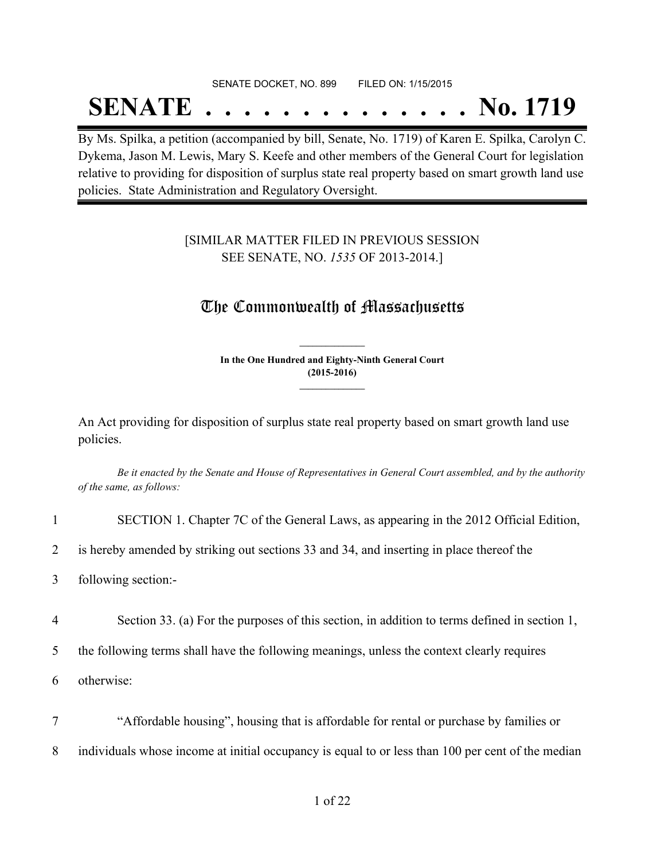### SENATE DOCKET, NO. 899 FILED ON: 1/15/2015

# **SENATE . . . . . . . . . . . . . . No. 1719**

By Ms. Spilka, a petition (accompanied by bill, Senate, No. 1719) of Karen E. Spilka, Carolyn C. Dykema, Jason M. Lewis, Mary S. Keefe and other members of the General Court for legislation relative to providing for disposition of surplus state real property based on smart growth land use policies. State Administration and Regulatory Oversight.

### [SIMILAR MATTER FILED IN PREVIOUS SESSION SEE SENATE, NO. *1535* OF 2013-2014.]

## The Commonwealth of Massachusetts

**In the One Hundred and Eighty-Ninth General Court (2015-2016) \_\_\_\_\_\_\_\_\_\_\_\_\_\_\_**

**\_\_\_\_\_\_\_\_\_\_\_\_\_\_\_**

An Act providing for disposition of surplus state real property based on smart growth land use policies.

Be it enacted by the Senate and House of Representatives in General Court assembled, and by the authority *of the same, as follows:*

| SECTION 1. Chapter 7C of the General Laws, as appearing in the 2012 Official Edition, |  |
|---------------------------------------------------------------------------------------|--|
|---------------------------------------------------------------------------------------|--|

2 is hereby amended by striking out sections 33 and 34, and inserting in place thereof the

3 following section:-

4 Section 33. (a) For the purposes of this section, in addition to terms defined in section 1,

5 the following terms shall have the following meanings, unless the context clearly requires

6 otherwise:

7 "Affordable housing", housing that is affordable for rental or purchase by families or

8 individuals whose income at initial occupancy is equal to or less than 100 per cent of the median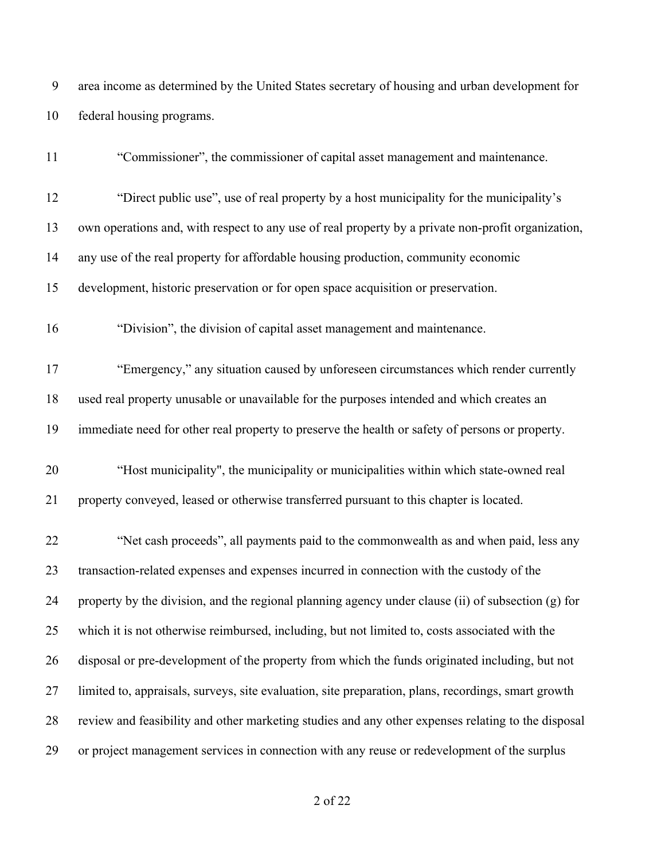| 9  | area income as determined by the United States secretary of housing and urban development for       |
|----|-----------------------------------------------------------------------------------------------------|
| 10 | federal housing programs.                                                                           |
| 11 | "Commissioner", the commissioner of capital asset management and maintenance.                       |
| 12 | "Direct public use", use of real property by a host municipality for the municipality's             |
| 13 | own operations and, with respect to any use of real property by a private non-profit organization,  |
| 14 | any use of the real property for affordable housing production, community economic                  |
| 15 | development, historic preservation or for open space acquisition or preservation.                   |
| 16 | "Division", the division of capital asset management and maintenance.                               |
| 17 | "Emergency," any situation caused by unforeseen circumstances which render currently                |
| 18 | used real property unusable or unavailable for the purposes intended and which creates an           |
| 19 | immediate need for other real property to preserve the health or safety of persons or property.     |
| 20 | "Host municipality", the municipality or municipalities within which state-owned real               |
| 21 | property conveyed, leased or otherwise transferred pursuant to this chapter is located.             |
| 22 | "Net cash proceeds", all payments paid to the commonwealth as and when paid, less any               |
| 23 | transaction-related expenses and expenses incurred in connection with the custody of the            |
| 24 | property by the division, and the regional planning agency under clause (ii) of subsection (g) for  |
| 25 | which it is not otherwise reimbursed, including, but not limited to, costs associated with the      |
| 26 | disposal or pre-development of the property from which the funds originated including, but not      |
| 27 | limited to, appraisals, surveys, site evaluation, site preparation, plans, recordings, smart growth |
| 28 | review and feasibility and other marketing studies and any other expenses relating to the disposal  |
| 29 | or project management services in connection with any reuse or redevelopment of the surplus         |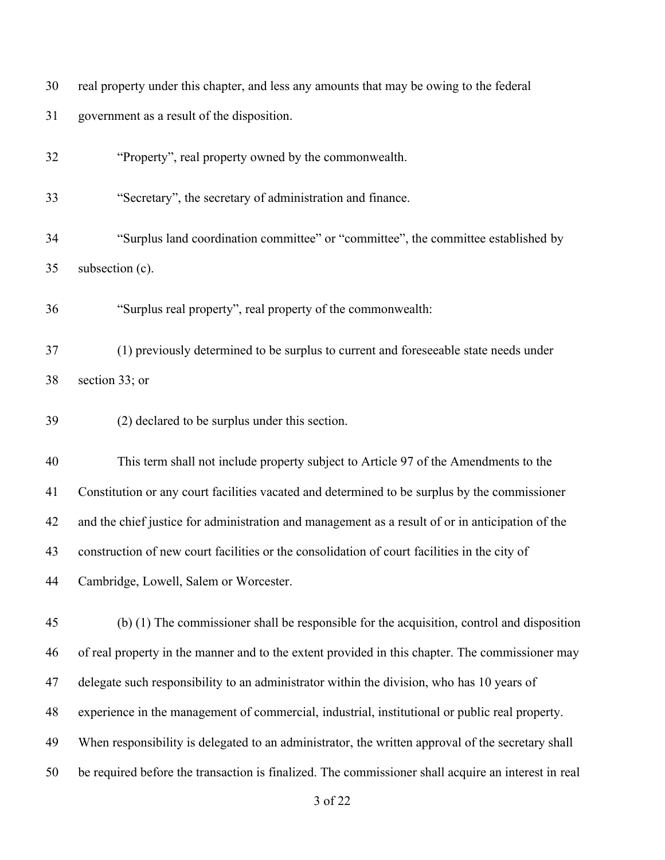| 31 | government as a result of the disposition.                                                          |
|----|-----------------------------------------------------------------------------------------------------|
| 32 | "Property", real property owned by the commonwealth.                                                |
| 33 | "Secretary", the secretary of administration and finance.                                           |
| 34 | "Surplus land coordination committee" or "committee", the committee established by                  |
| 35 | subsection (c).                                                                                     |
| 36 | "Surplus real property", real property of the commonwealth:                                         |
| 37 | (1) previously determined to be surplus to current and foreseeable state needs under                |
| 38 | section 33; or                                                                                      |
| 39 | (2) declared to be surplus under this section.                                                      |
| 40 | This term shall not include property subject to Article 97 of the Amendments to the                 |
| 41 | Constitution or any court facilities vacated and determined to be surplus by the commissioner       |
| 42 | and the chief justice for administration and management as a result of or in anticipation of the    |
| 43 | construction of new court facilities or the consolidation of court facilities in the city of        |
| 44 | Cambridge, Lowell, Salem or Worcester.                                                              |
| 45 | (b) (1) The commissioner shall be responsible for the acquisition, control and disposition          |
| 46 | of real property in the manner and to the extent provided in this chapter. The commissioner may     |
| 47 | delegate such responsibility to an administrator within the division, who has 10 years of           |
| 48 | experience in the management of commercial, industrial, institutional or public real property.      |
| 49 | When responsibility is delegated to an administrator, the written approval of the secretary shall   |
| 50 | be required before the transaction is finalized. The commissioner shall acquire an interest in real |
|    | 3 of 22                                                                                             |

real property under this chapter, and less any amounts that may be owing to the federal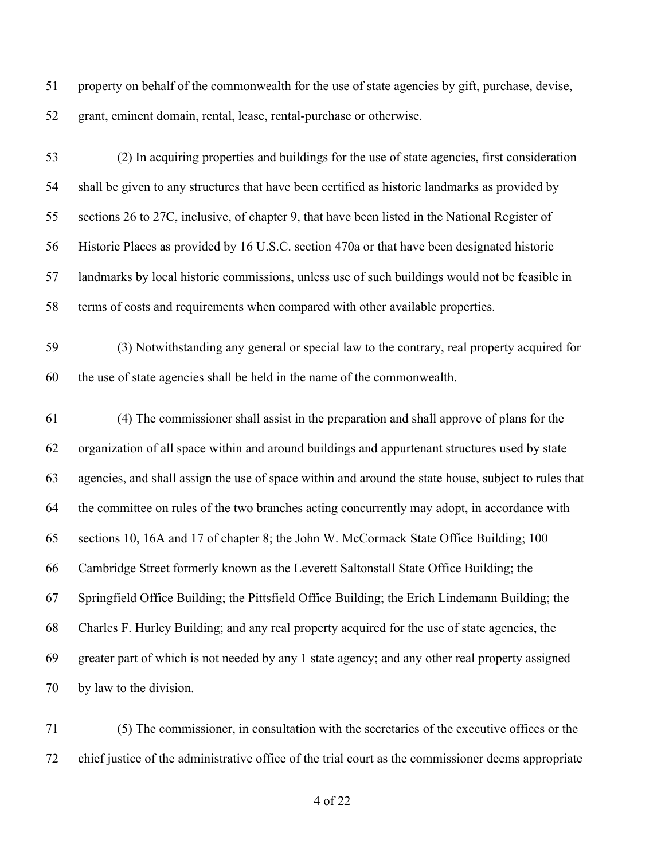property on behalf of the commonwealth for the use of state agencies by gift, purchase, devise, grant, eminent domain, rental, lease, rental-purchase or otherwise.

 (2) In acquiring properties and buildings for the use of state agencies, first consideration shall be given to any structures that have been certified as historic landmarks as provided by sections 26 to 27C, inclusive, of chapter 9, that have been listed in the National Register of Historic Places as provided by 16 U.S.C. section 470a or that have been designated historic landmarks by local historic commissions, unless use of such buildings would not be feasible in terms of costs and requirements when compared with other available properties.

 (3) Notwithstanding any general or special law to the contrary, real property acquired for the use of state agencies shall be held in the name of the commonwealth.

 (4) The commissioner shall assist in the preparation and shall approve of plans for the organization of all space within and around buildings and appurtenant structures used by state agencies, and shall assign the use of space within and around the state house, subject to rules that the committee on rules of the two branches acting concurrently may adopt, in accordance with sections 10, 16A and 17 of chapter 8; the John W. McCormack State Office Building; 100 Cambridge Street formerly known as the Leverett Saltonstall State Office Building; the Springfield Office Building; the Pittsfield Office Building; the Erich Lindemann Building; the Charles F. Hurley Building; and any real property acquired for the use of state agencies, the greater part of which is not needed by any 1 state agency; and any other real property assigned by law to the division.

 (5) The commissioner, in consultation with the secretaries of the executive offices or the chief justice of the administrative office of the trial court as the commissioner deems appropriate

of 22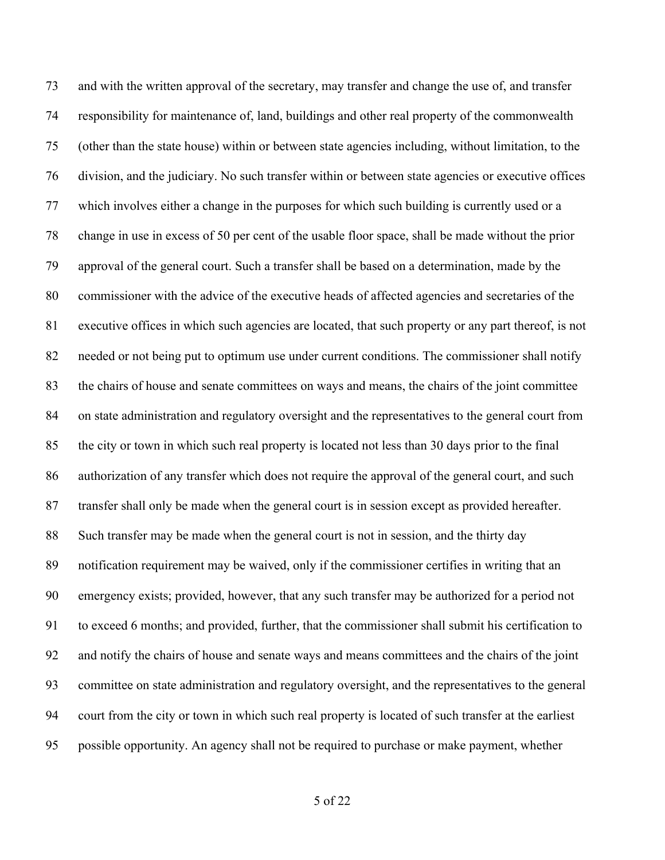and with the written approval of the secretary, may transfer and change the use of, and transfer responsibility for maintenance of, land, buildings and other real property of the commonwealth (other than the state house) within or between state agencies including, without limitation, to the division, and the judiciary. No such transfer within or between state agencies or executive offices which involves either a change in the purposes for which such building is currently used or a change in use in excess of 50 per cent of the usable floor space, shall be made without the prior approval of the general court. Such a transfer shall be based on a determination, made by the commissioner with the advice of the executive heads of affected agencies and secretaries of the executive offices in which such agencies are located, that such property or any part thereof, is not needed or not being put to optimum use under current conditions. The commissioner shall notify the chairs of house and senate committees on ways and means, the chairs of the joint committee on state administration and regulatory oversight and the representatives to the general court from the city or town in which such real property is located not less than 30 days prior to the final authorization of any transfer which does not require the approval of the general court, and such transfer shall only be made when the general court is in session except as provided hereafter. Such transfer may be made when the general court is not in session, and the thirty day notification requirement may be waived, only if the commissioner certifies in writing that an emergency exists; provided, however, that any such transfer may be authorized for a period not to exceed 6 months; and provided, further, that the commissioner shall submit his certification to and notify the chairs of house and senate ways and means committees and the chairs of the joint committee on state administration and regulatory oversight, and the representatives to the general court from the city or town in which such real property is located of such transfer at the earliest possible opportunity. An agency shall not be required to purchase or make payment, whether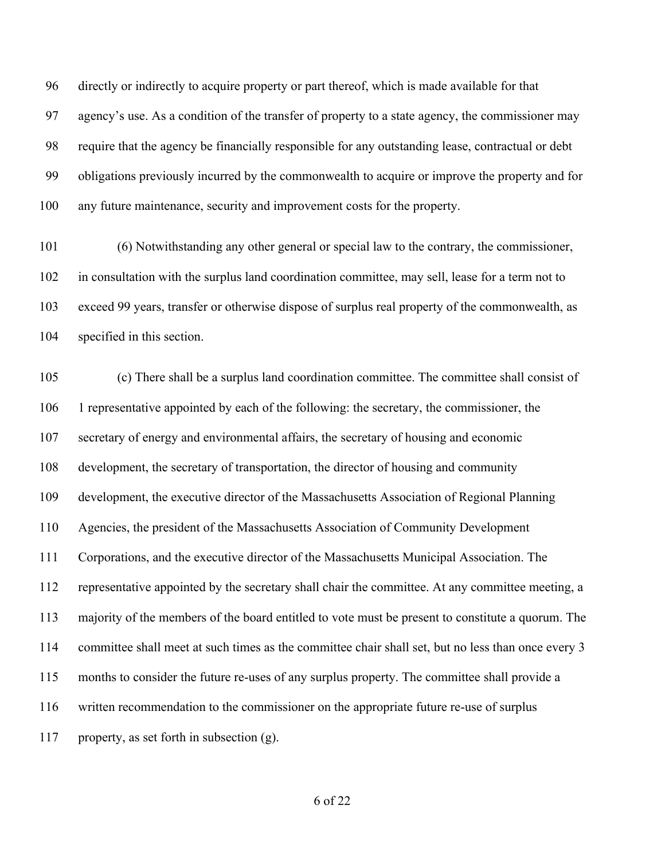directly or indirectly to acquire property or part thereof, which is made available for that agency's use. As a condition of the transfer of property to a state agency, the commissioner may require that the agency be financially responsible for any outstanding lease, contractual or debt obligations previously incurred by the commonwealth to acquire or improve the property and for any future maintenance, security and improvement costs for the property.

 (6) Notwithstanding any other general or special law to the contrary, the commissioner, in consultation with the surplus land coordination committee, may sell, lease for a term not to exceed 99 years, transfer or otherwise dispose of surplus real property of the commonwealth, as specified in this section.

 (c) There shall be a surplus land coordination committee. The committee shall consist of 1 representative appointed by each of the following: the secretary, the commissioner, the secretary of energy and environmental affairs, the secretary of housing and economic development, the secretary of transportation, the director of housing and community development, the executive director of the Massachusetts Association of Regional Planning Agencies, the president of the Massachusetts Association of Community Development Corporations, and the executive director of the Massachusetts Municipal Association. The representative appointed by the secretary shall chair the committee. At any committee meeting, a majority of the members of the board entitled to vote must be present to constitute a quorum. The committee shall meet at such times as the committee chair shall set, but no less than once every 3 months to consider the future re-uses of any surplus property. The committee shall provide a written recommendation to the commissioner on the appropriate future re-use of surplus 117 property, as set forth in subsection  $(g)$ .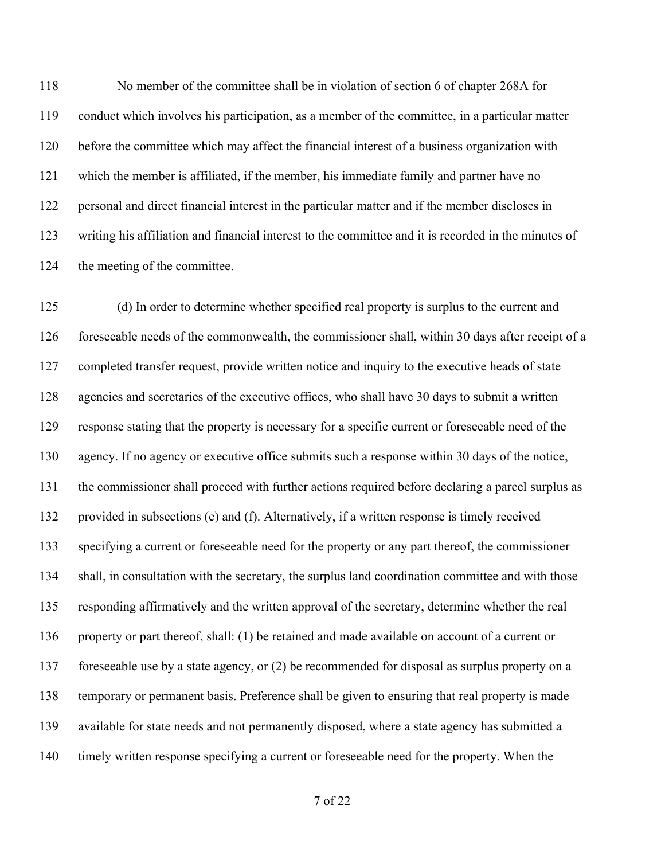No member of the committee shall be in violation of section 6 of chapter 268A for conduct which involves his participation, as a member of the committee, in a particular matter before the committee which may affect the financial interest of a business organization with which the member is affiliated, if the member, his immediate family and partner have no personal and direct financial interest in the particular matter and if the member discloses in writing his affiliation and financial interest to the committee and it is recorded in the minutes of the meeting of the committee.

 (d) In order to determine whether specified real property is surplus to the current and foreseeable needs of the commonwealth, the commissioner shall, within 30 days after receipt of a completed transfer request, provide written notice and inquiry to the executive heads of state agencies and secretaries of the executive offices, who shall have 30 days to submit a written response stating that the property is necessary for a specific current or foreseeable need of the agency. If no agency or executive office submits such a response within 30 days of the notice, the commissioner shall proceed with further actions required before declaring a parcel surplus as provided in subsections (e) and (f). Alternatively, if a written response is timely received specifying a current or foreseeable need for the property or any part thereof, the commissioner shall, in consultation with the secretary, the surplus land coordination committee and with those responding affirmatively and the written approval of the secretary, determine whether the real property or part thereof, shall: (1) be retained and made available on account of a current or foreseeable use by a state agency, or (2) be recommended for disposal as surplus property on a temporary or permanent basis. Preference shall be given to ensuring that real property is made available for state needs and not permanently disposed, where a state agency has submitted a timely written response specifying a current or foreseeable need for the property. When the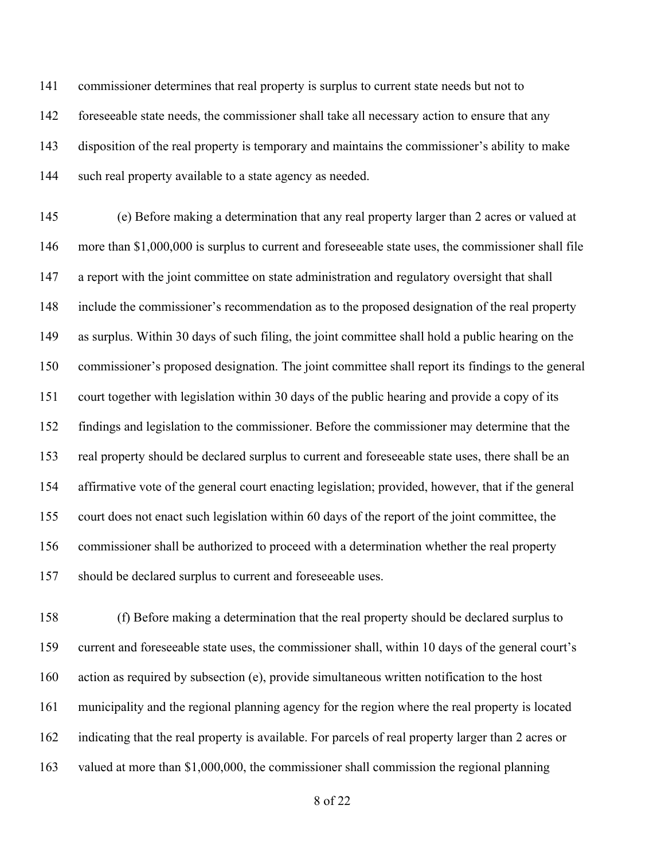commissioner determines that real property is surplus to current state needs but not to foreseeable state needs, the commissioner shall take all necessary action to ensure that any disposition of the real property is temporary and maintains the commissioner's ability to make 144 such real property available to a state agency as needed.

 (e) Before making a determination that any real property larger than 2 acres or valued at more than \$1,000,000 is surplus to current and foreseeable state uses, the commissioner shall file a report with the joint committee on state administration and regulatory oversight that shall include the commissioner's recommendation as to the proposed designation of the real property as surplus. Within 30 days of such filing, the joint committee shall hold a public hearing on the commissioner's proposed designation. The joint committee shall report its findings to the general court together with legislation within 30 days of the public hearing and provide a copy of its findings and legislation to the commissioner. Before the commissioner may determine that the real property should be declared surplus to current and foreseeable state uses, there shall be an affirmative vote of the general court enacting legislation; provided, however, that if the general court does not enact such legislation within 60 days of the report of the joint committee, the commissioner shall be authorized to proceed with a determination whether the real property should be declared surplus to current and foreseeable uses.

 (f) Before making a determination that the real property should be declared surplus to current and foreseeable state uses, the commissioner shall, within 10 days of the general court's action as required by subsection (e), provide simultaneous written notification to the host municipality and the regional planning agency for the region where the real property is located indicating that the real property is available. For parcels of real property larger than 2 acres or valued at more than \$1,000,000, the commissioner shall commission the regional planning

of 22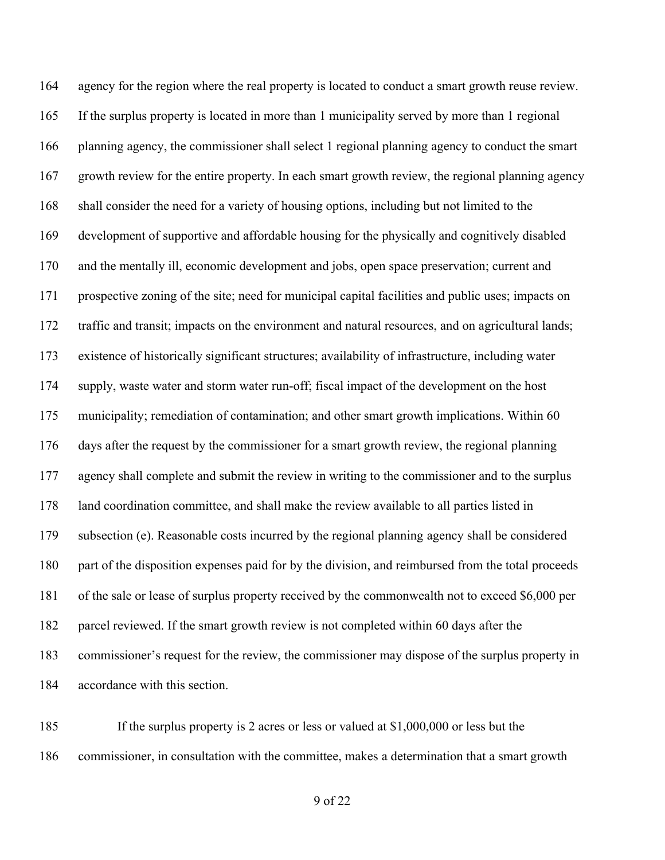agency for the region where the real property is located to conduct a smart growth reuse review. If the surplus property is located in more than 1 municipality served by more than 1 regional planning agency, the commissioner shall select 1 regional planning agency to conduct the smart growth review for the entire property. In each smart growth review, the regional planning agency shall consider the need for a variety of housing options, including but not limited to the development of supportive and affordable housing for the physically and cognitively disabled and the mentally ill, economic development and jobs, open space preservation; current and prospective zoning of the site; need for municipal capital facilities and public uses; impacts on traffic and transit; impacts on the environment and natural resources, and on agricultural lands; existence of historically significant structures; availability of infrastructure, including water supply, waste water and storm water run-off; fiscal impact of the development on the host municipality; remediation of contamination; and other smart growth implications. Within 60 days after the request by the commissioner for a smart growth review, the regional planning 177 agency shall complete and submit the review in writing to the commissioner and to the surplus land coordination committee, and shall make the review available to all parties listed in subsection (e). Reasonable costs incurred by the regional planning agency shall be considered part of the disposition expenses paid for by the division, and reimbursed from the total proceeds of the sale or lease of surplus property received by the commonwealth not to exceed \$6,000 per parcel reviewed. If the smart growth review is not completed within 60 days after the commissioner's request for the review, the commissioner may dispose of the surplus property in accordance with this section.

 If the surplus property is 2 acres or less or valued at \$1,000,000 or less but the commissioner, in consultation with the committee, makes a determination that a smart growth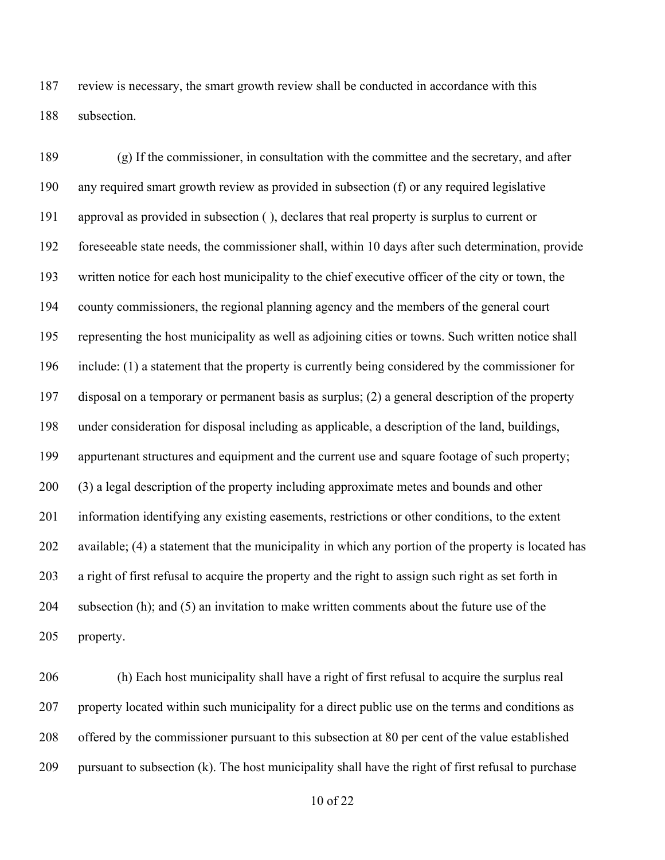review is necessary, the smart growth review shall be conducted in accordance with this subsection.

 (g) If the commissioner, in consultation with the committee and the secretary, and after any required smart growth review as provided in subsection (f) or any required legislative approval as provided in subsection ( ), declares that real property is surplus to current or foreseeable state needs, the commissioner shall, within 10 days after such determination, provide written notice for each host municipality to the chief executive officer of the city or town, the county commissioners, the regional planning agency and the members of the general court representing the host municipality as well as adjoining cities or towns. Such written notice shall include: (1) a statement that the property is currently being considered by the commissioner for disposal on a temporary or permanent basis as surplus; (2) a general description of the property under consideration for disposal including as applicable, a description of the land, buildings, appurtenant structures and equipment and the current use and square footage of such property; (3) a legal description of the property including approximate metes and bounds and other information identifying any existing easements, restrictions or other conditions, to the extent available; (4) a statement that the municipality in which any portion of the property is located has a right of first refusal to acquire the property and the right to assign such right as set forth in subsection (h); and (5) an invitation to make written comments about the future use of the property.

 (h) Each host municipality shall have a right of first refusal to acquire the surplus real 207 property located within such municipality for a direct public use on the terms and conditions as offered by the commissioner pursuant to this subsection at 80 per cent of the value established pursuant to subsection (k). The host municipality shall have the right of first refusal to purchase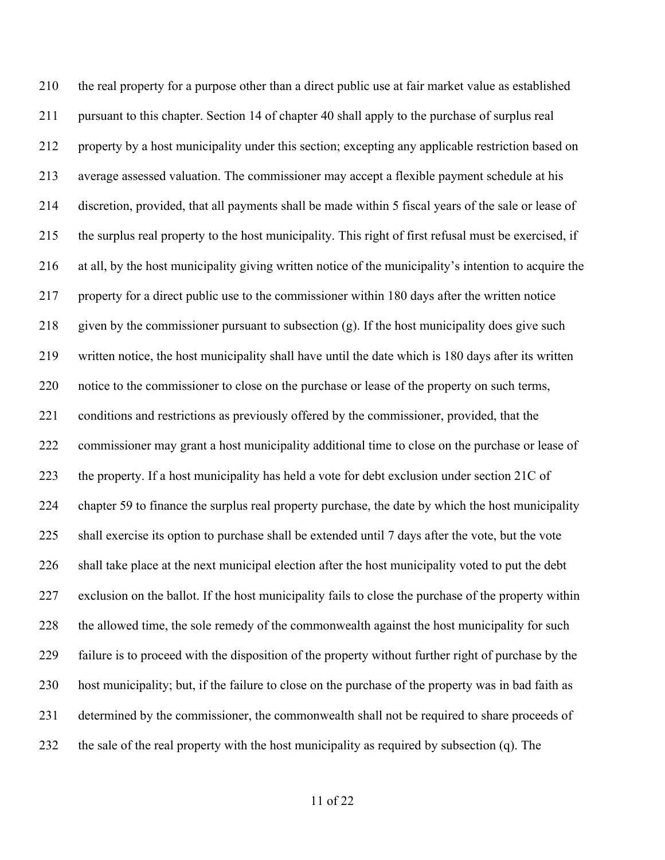the real property for a purpose other than a direct public use at fair market value as established pursuant to this chapter. Section 14 of chapter 40 shall apply to the purchase of surplus real property by a host municipality under this section; excepting any applicable restriction based on average assessed valuation. The commissioner may accept a flexible payment schedule at his discretion, provided, that all payments shall be made within 5 fiscal years of the sale or lease of the surplus real property to the host municipality. This right of first refusal must be exercised, if at all, by the host municipality giving written notice of the municipality's intention to acquire the property for a direct public use to the commissioner within 180 days after the written notice 218 given by the commissioner pursuant to subsection  $(g)$ . If the host municipality does give such written notice, the host municipality shall have until the date which is 180 days after its written notice to the commissioner to close on the purchase or lease of the property on such terms, conditions and restrictions as previously offered by the commissioner, provided, that the commissioner may grant a host municipality additional time to close on the purchase or lease of the property. If a host municipality has held a vote for debt exclusion under section 21C of chapter 59 to finance the surplus real property purchase, the date by which the host municipality shall exercise its option to purchase shall be extended until 7 days after the vote, but the vote shall take place at the next municipal election after the host municipality voted to put the debt exclusion on the ballot. If the host municipality fails to close the purchase of the property within 228 the allowed time, the sole remedy of the commonwealth against the host municipality for such failure is to proceed with the disposition of the property without further right of purchase by the host municipality; but, if the failure to close on the purchase of the property was in bad faith as determined by the commissioner, the commonwealth shall not be required to share proceeds of the sale of the real property with the host municipality as required by subsection (q). The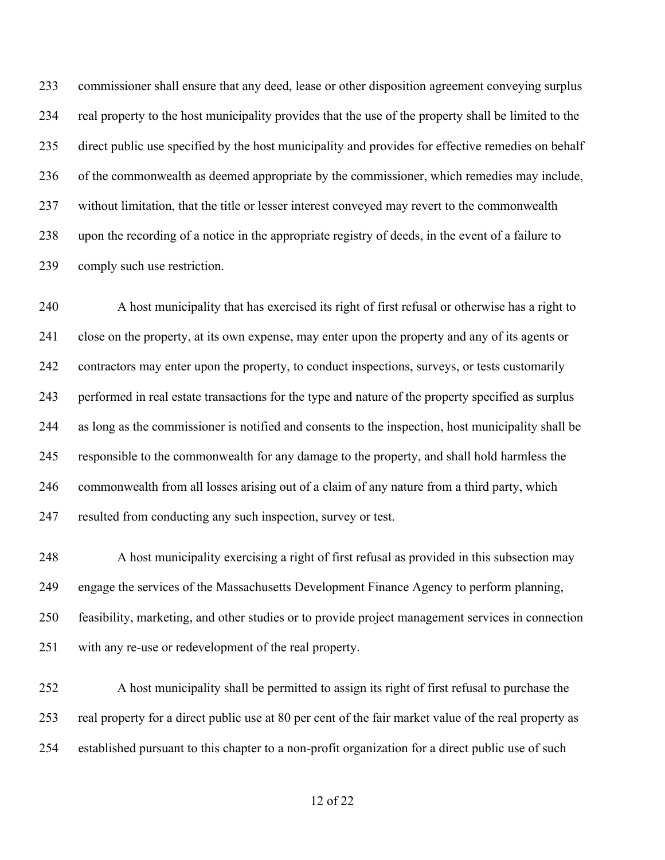commissioner shall ensure that any deed, lease or other disposition agreement conveying surplus real property to the host municipality provides that the use of the property shall be limited to the direct public use specified by the host municipality and provides for effective remedies on behalf of the commonwealth as deemed appropriate by the commissioner, which remedies may include, without limitation, that the title or lesser interest conveyed may revert to the commonwealth upon the recording of a notice in the appropriate registry of deeds, in the event of a failure to comply such use restriction.

 A host municipality that has exercised its right of first refusal or otherwise has a right to close on the property, at its own expense, may enter upon the property and any of its agents or contractors may enter upon the property, to conduct inspections, surveys, or tests customarily performed in real estate transactions for the type and nature of the property specified as surplus as long as the commissioner is notified and consents to the inspection, host municipality shall be responsible to the commonwealth for any damage to the property, and shall hold harmless the commonwealth from all losses arising out of a claim of any nature from a third party, which resulted from conducting any such inspection, survey or test.

 A host municipality exercising a right of first refusal as provided in this subsection may engage the services of the Massachusetts Development Finance Agency to perform planning, feasibility, marketing, and other studies or to provide project management services in connection with any re-use or redevelopment of the real property.

 A host municipality shall be permitted to assign its right of first refusal to purchase the real property for a direct public use at 80 per cent of the fair market value of the real property as established pursuant to this chapter to a non-profit organization for a direct public use of such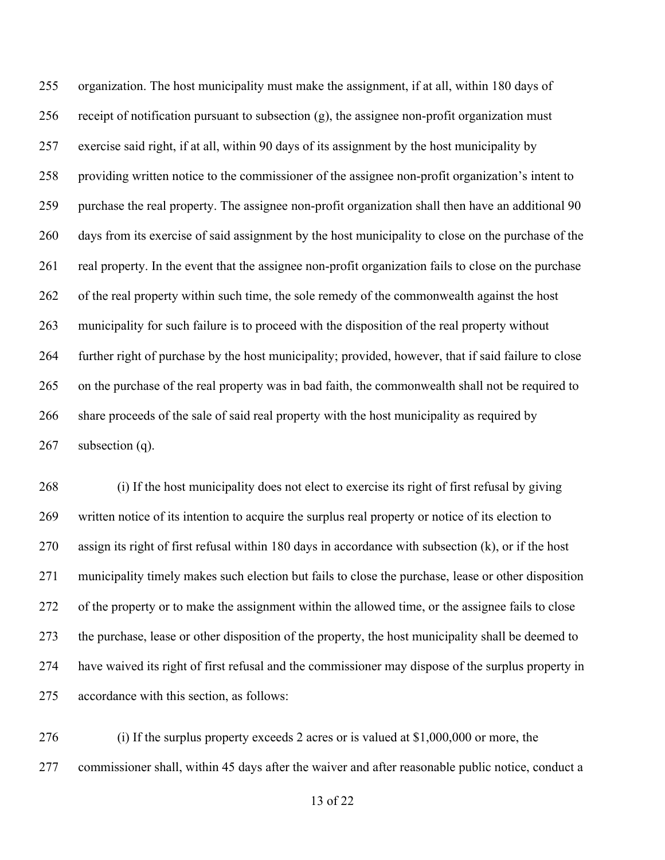organization. The host municipality must make the assignment, if at all, within 180 days of 256 receipt of notification pursuant to subsection  $(g)$ , the assignee non-profit organization must exercise said right, if at all, within 90 days of its assignment by the host municipality by providing written notice to the commissioner of the assignee non-profit organization's intent to purchase the real property. The assignee non-profit organization shall then have an additional 90 days from its exercise of said assignment by the host municipality to close on the purchase of the real property. In the event that the assignee non-profit organization fails to close on the purchase 262 of the real property within such time, the sole remedy of the commonwealth against the host municipality for such failure is to proceed with the disposition of the real property without further right of purchase by the host municipality; provided, however, that if said failure to close on the purchase of the real property was in bad faith, the commonwealth shall not be required to share proceeds of the sale of said real property with the host municipality as required by subsection (q).

 (i) If the host municipality does not elect to exercise its right of first refusal by giving written notice of its intention to acquire the surplus real property or notice of its election to assign its right of first refusal within 180 days in accordance with subsection (k), or if the host municipality timely makes such election but fails to close the purchase, lease or other disposition of the property or to make the assignment within the allowed time, or the assignee fails to close the purchase, lease or other disposition of the property, the host municipality shall be deemed to have waived its right of first refusal and the commissioner may dispose of the surplus property in accordance with this section, as follows:

 (i) If the surplus property exceeds 2 acres or is valued at \$1,000,000 or more, the commissioner shall, within 45 days after the waiver and after reasonable public notice, conduct a

of 22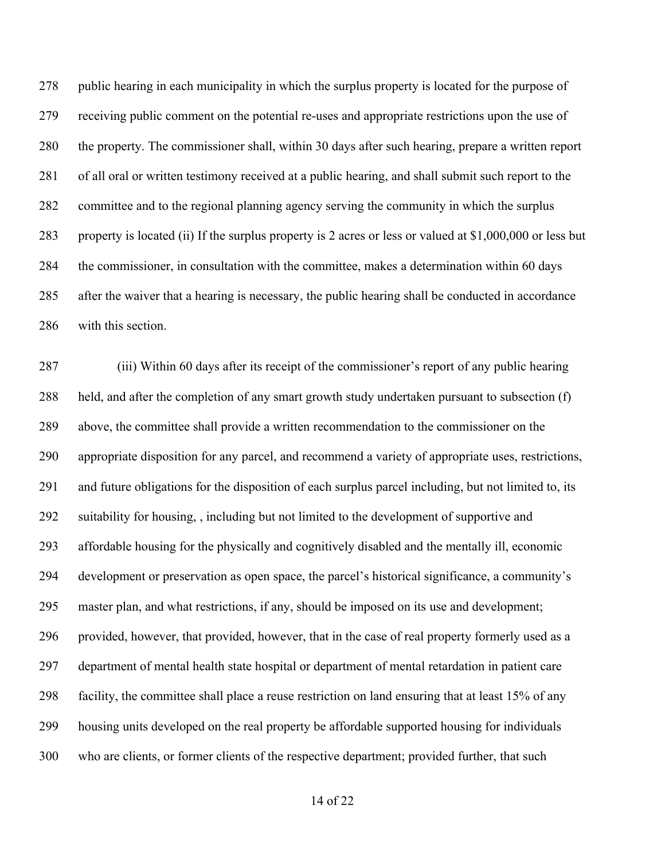278 public hearing in each municipality in which the surplus property is located for the purpose of receiving public comment on the potential re-uses and appropriate restrictions upon the use of the property. The commissioner shall, within 30 days after such hearing, prepare a written report of all oral or written testimony received at a public hearing, and shall submit such report to the committee and to the regional planning agency serving the community in which the surplus property is located (ii) If the surplus property is 2 acres or less or valued at \$1,000,000 or less but the commissioner, in consultation with the committee, makes a determination within 60 days after the waiver that a hearing is necessary, the public hearing shall be conducted in accordance with this section.

 (iii) Within 60 days after its receipt of the commissioner's report of any public hearing held, and after the completion of any smart growth study undertaken pursuant to subsection (f) above, the committee shall provide a written recommendation to the commissioner on the appropriate disposition for any parcel, and recommend a variety of appropriate uses, restrictions, and future obligations for the disposition of each surplus parcel including, but not limited to, its suitability for housing, , including but not limited to the development of supportive and affordable housing for the physically and cognitively disabled and the mentally ill, economic development or preservation as open space, the parcel's historical significance, a community's master plan, and what restrictions, if any, should be imposed on its use and development; provided, however, that provided, however, that in the case of real property formerly used as a department of mental health state hospital or department of mental retardation in patient care facility, the committee shall place a reuse restriction on land ensuring that at least 15% of any housing units developed on the real property be affordable supported housing for individuals who are clients, or former clients of the respective department; provided further, that such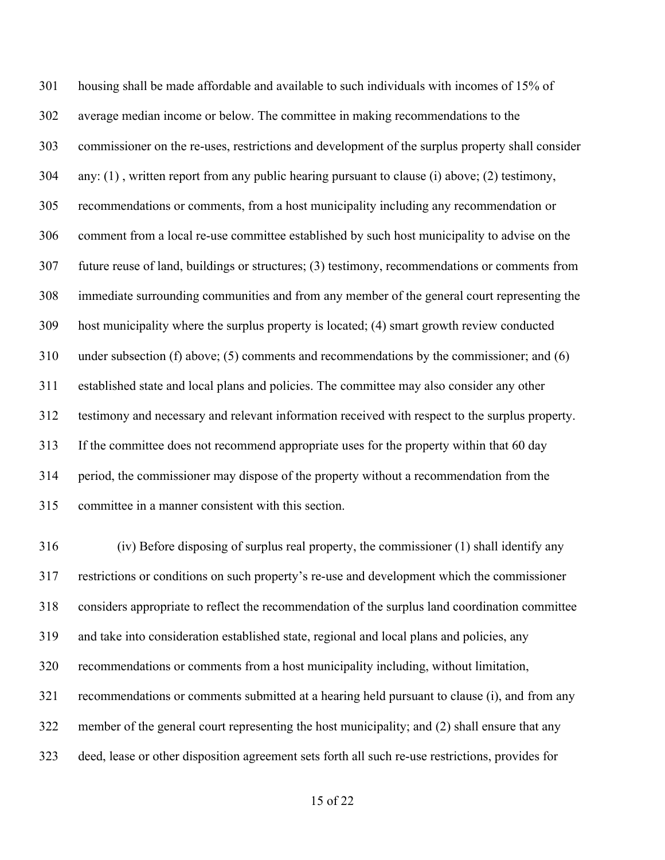housing shall be made affordable and available to such individuals with incomes of 15% of average median income or below. The committee in making recommendations to the commissioner on the re-uses, restrictions and development of the surplus property shall consider any: (1) , written report from any public hearing pursuant to clause (i) above; (2) testimony, recommendations or comments, from a host municipality including any recommendation or comment from a local re-use committee established by such host municipality to advise on the future reuse of land, buildings or structures; (3) testimony, recommendations or comments from immediate surrounding communities and from any member of the general court representing the host municipality where the surplus property is located; (4) smart growth review conducted under subsection (f) above; (5) comments and recommendations by the commissioner; and (6) established state and local plans and policies. The committee may also consider any other testimony and necessary and relevant information received with respect to the surplus property. If the committee does not recommend appropriate uses for the property within that 60 day period, the commissioner may dispose of the property without a recommendation from the committee in a manner consistent with this section.

 (iv) Before disposing of surplus real property, the commissioner (1) shall identify any restrictions or conditions on such property's re-use and development which the commissioner considers appropriate to reflect the recommendation of the surplus land coordination committee and take into consideration established state, regional and local plans and policies, any recommendations or comments from a host municipality including, without limitation, recommendations or comments submitted at a hearing held pursuant to clause (i), and from any member of the general court representing the host municipality; and (2) shall ensure that any deed, lease or other disposition agreement sets forth all such re-use restrictions, provides for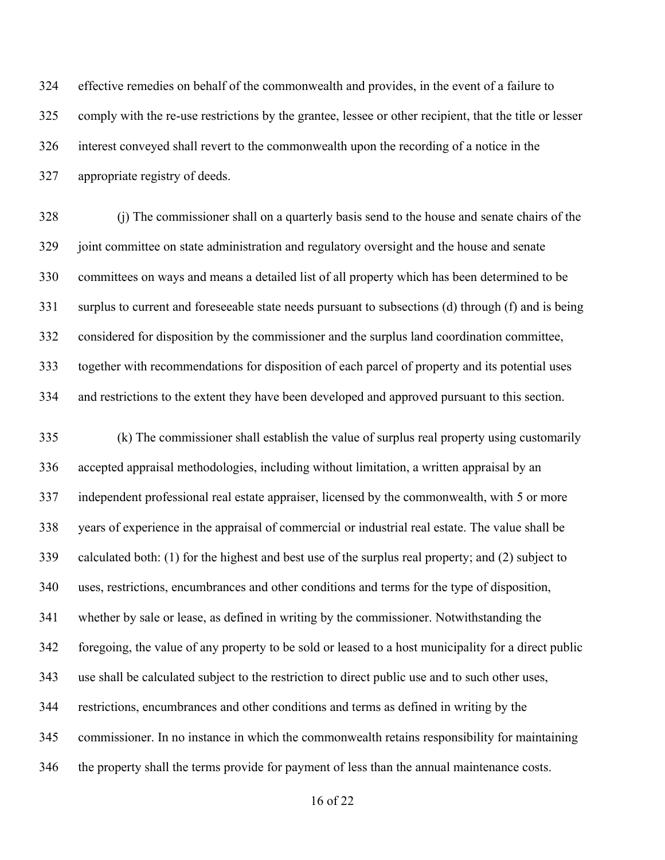effective remedies on behalf of the commonwealth and provides, in the event of a failure to comply with the re-use restrictions by the grantee, lessee or other recipient, that the title or lesser interest conveyed shall revert to the commonwealth upon the recording of a notice in the appropriate registry of deeds.

 (j) The commissioner shall on a quarterly basis send to the house and senate chairs of the joint committee on state administration and regulatory oversight and the house and senate committees on ways and means a detailed list of all property which has been determined to be surplus to current and foreseeable state needs pursuant to subsections (d) through (f) and is being considered for disposition by the commissioner and the surplus land coordination committee, together with recommendations for disposition of each parcel of property and its potential uses and restrictions to the extent they have been developed and approved pursuant to this section.

 (k) The commissioner shall establish the value of surplus real property using customarily accepted appraisal methodologies, including without limitation, a written appraisal by an independent professional real estate appraiser, licensed by the commonwealth, with 5 or more years of experience in the appraisal of commercial or industrial real estate. The value shall be calculated both: (1) for the highest and best use of the surplus real property; and (2) subject to uses, restrictions, encumbrances and other conditions and terms for the type of disposition, whether by sale or lease, as defined in writing by the commissioner. Notwithstanding the foregoing, the value of any property to be sold or leased to a host municipality for a direct public use shall be calculated subject to the restriction to direct public use and to such other uses, restrictions, encumbrances and other conditions and terms as defined in writing by the commissioner. In no instance in which the commonwealth retains responsibility for maintaining the property shall the terms provide for payment of less than the annual maintenance costs.

of 22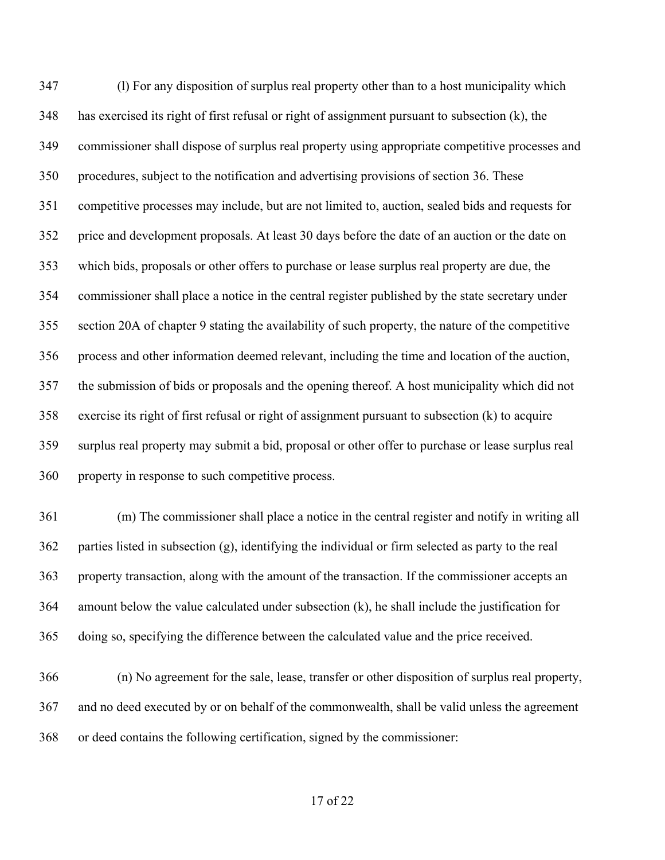(l) For any disposition of surplus real property other than to a host municipality which has exercised its right of first refusal or right of assignment pursuant to subsection (k), the commissioner shall dispose of surplus real property using appropriate competitive processes and procedures, subject to the notification and advertising provisions of section 36. These competitive processes may include, but are not limited to, auction, sealed bids and requests for price and development proposals. At least 30 days before the date of an auction or the date on which bids, proposals or other offers to purchase or lease surplus real property are due, the commissioner shall place a notice in the central register published by the state secretary under section 20A of chapter 9 stating the availability of such property, the nature of the competitive process and other information deemed relevant, including the time and location of the auction, the submission of bids or proposals and the opening thereof. A host municipality which did not exercise its right of first refusal or right of assignment pursuant to subsection (k) to acquire surplus real property may submit a bid, proposal or other offer to purchase or lease surplus real property in response to such competitive process.

 (m) The commissioner shall place a notice in the central register and notify in writing all parties listed in subsection (g), identifying the individual or firm selected as party to the real property transaction, along with the amount of the transaction. If the commissioner accepts an amount below the value calculated under subsection (k), he shall include the justification for doing so, specifying the difference between the calculated value and the price received.

 (n) No agreement for the sale, lease, transfer or other disposition of surplus real property, and no deed executed by or on behalf of the commonwealth, shall be valid unless the agreement or deed contains the following certification, signed by the commissioner: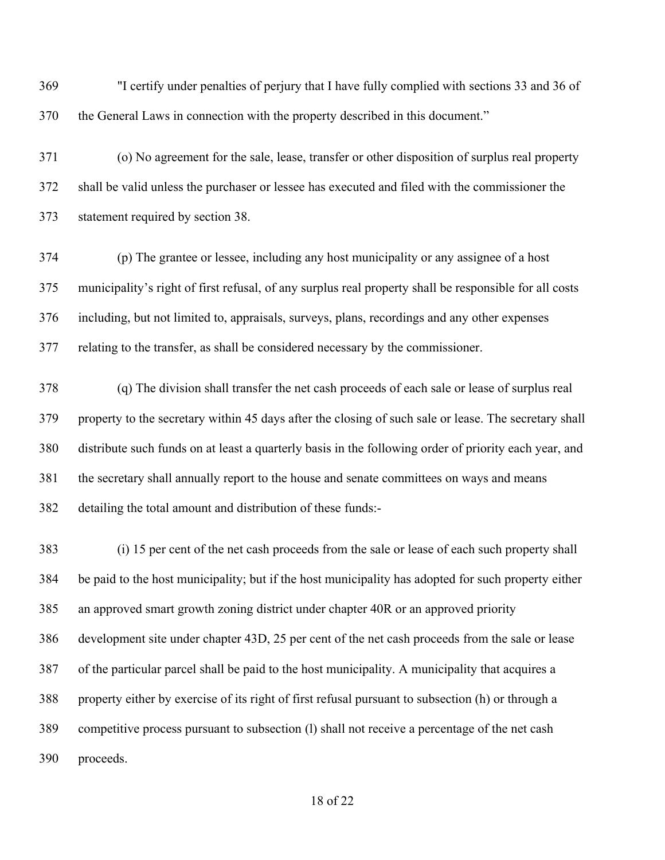"I certify under penalties of perjury that I have fully complied with sections 33 and 36 of the General Laws in connection with the property described in this document."

 (o) No agreement for the sale, lease, transfer or other disposition of surplus real property shall be valid unless the purchaser or lessee has executed and filed with the commissioner the statement required by section 38.

 (p) The grantee or lessee, including any host municipality or any assignee of a host municipality's right of first refusal, of any surplus real property shall be responsible for all costs including, but not limited to, appraisals, surveys, plans, recordings and any other expenses relating to the transfer, as shall be considered necessary by the commissioner.

 (q) The division shall transfer the net cash proceeds of each sale or lease of surplus real property to the secretary within 45 days after the closing of such sale or lease. The secretary shall distribute such funds on at least a quarterly basis in the following order of priority each year, and the secretary shall annually report to the house and senate committees on ways and means detailing the total amount and distribution of these funds:-

 (i) 15 per cent of the net cash proceeds from the sale or lease of each such property shall be paid to the host municipality; but if the host municipality has adopted for such property either an approved smart growth zoning district under chapter 40R or an approved priority development site under chapter 43D, 25 per cent of the net cash proceeds from the sale or lease of the particular parcel shall be paid to the host municipality. A municipality that acquires a property either by exercise of its right of first refusal pursuant to subsection (h) or through a competitive process pursuant to subsection (l) shall not receive a percentage of the net cash proceeds.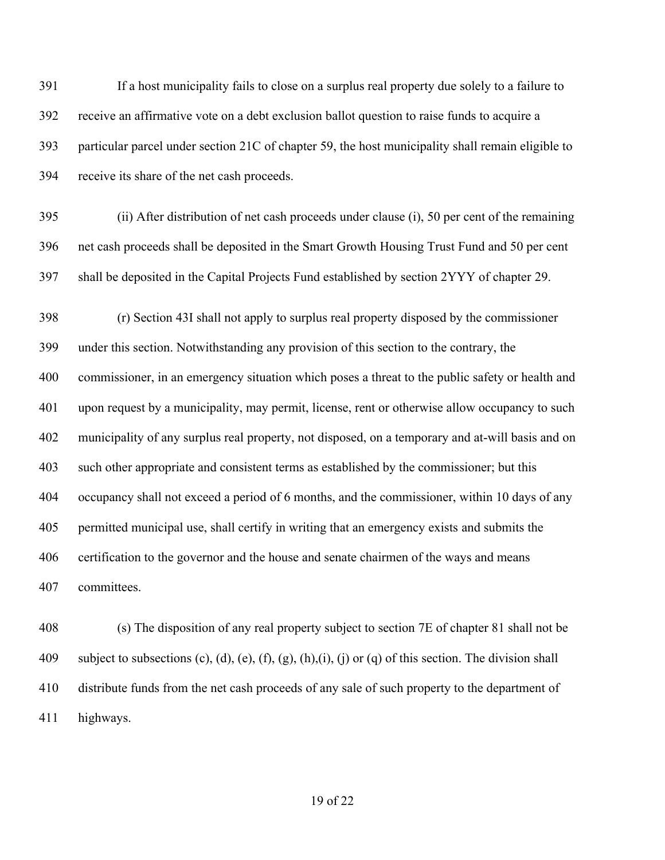| 391 | If a host municipality fails to close on a surplus real property due solely to a failure to       |
|-----|---------------------------------------------------------------------------------------------------|
| 392 | receive an affirmative vote on a debt exclusion ballot question to raise funds to acquire a       |
| 393 | particular parcel under section 21C of chapter 59, the host municipality shall remain eligible to |
| 394 | receive its share of the net cash proceeds.                                                       |
| 395 | (ii) After distribution of net cash proceeds under clause (i), 50 per cent of the remaining       |
| 396 | net cash proceeds shall be deposited in the Smart Growth Housing Trust Fund and 50 per cent       |
| 397 | shall be deposited in the Capital Projects Fund established by section 2YYY of chapter 29.        |
| 398 | (r) Section 43I shall not apply to surplus real property disposed by the commissioner             |
| 399 | under this section. Notwithstanding any provision of this section to the contrary, the            |
| 400 | commissioner, in an emergency situation which poses a threat to the public safety or health and   |
| 401 | upon request by a municipality, may permit, license, rent or otherwise allow occupancy to such    |
| 402 | municipality of any surplus real property, not disposed, on a temporary and at-will basis and on  |
| 403 | such other appropriate and consistent terms as established by the commissioner; but this          |
| 404 | occupancy shall not exceed a period of 6 months, and the commissioner, within 10 days of any      |
| 405 | permitted municipal use, shall certify in writing that an emergency exists and submits the        |
| 406 | certification to the governor and the house and senate chairmen of the ways and means             |
| 407 | committees.                                                                                       |
|     |                                                                                                   |

 (s) The disposition of any real property subject to section 7E of chapter 81 shall not be 409 subject to subsections (c), (d), (e), (f), (g), (h),(i), (j) or (q) of this section. The division shall distribute funds from the net cash proceeds of any sale of such property to the department of highways.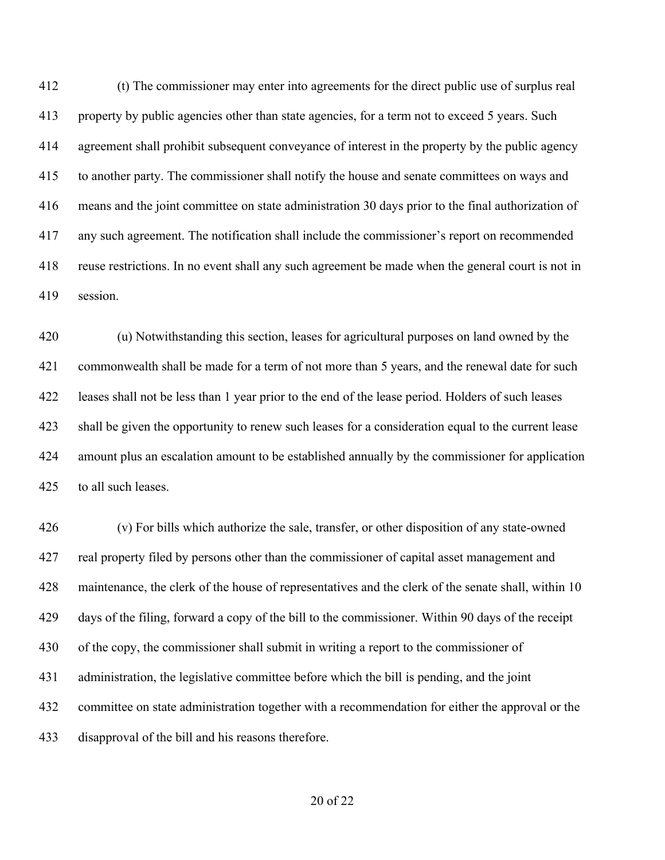(t) The commissioner may enter into agreements for the direct public use of surplus real property by public agencies other than state agencies, for a term not to exceed 5 years. Such agreement shall prohibit subsequent conveyance of interest in the property by the public agency to another party. The commissioner shall notify the house and senate committees on ways and means and the joint committee on state administration 30 days prior to the final authorization of any such agreement. The notification shall include the commissioner's report on recommended reuse restrictions. In no event shall any such agreement be made when the general court is not in session.

 (u) Notwithstanding this section, leases for agricultural purposes on land owned by the commonwealth shall be made for a term of not more than 5 years, and the renewal date for such leases shall not be less than 1 year prior to the end of the lease period. Holders of such leases shall be given the opportunity to renew such leases for a consideration equal to the current lease amount plus an escalation amount to be established annually by the commissioner for application to all such leases.

 (v) For bills which authorize the sale, transfer, or other disposition of any state-owned real property filed by persons other than the commissioner of capital asset management and maintenance, the clerk of the house of representatives and the clerk of the senate shall, within 10 days of the filing, forward a copy of the bill to the commissioner. Within 90 days of the receipt of the copy, the commissioner shall submit in writing a report to the commissioner of administration, the legislative committee before which the bill is pending, and the joint committee on state administration together with a recommendation for either the approval or the disapproval of the bill and his reasons therefore.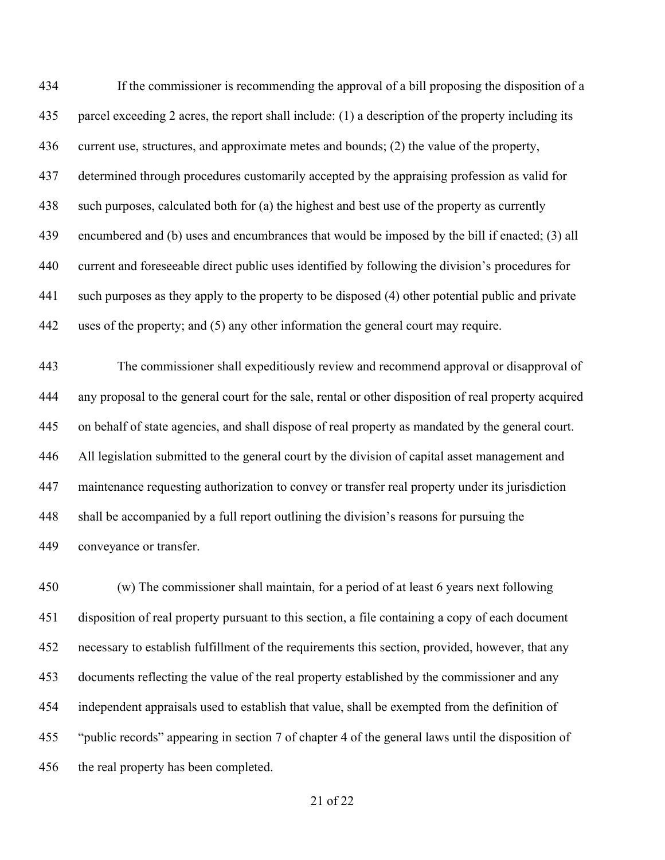If the commissioner is recommending the approval of a bill proposing the disposition of a parcel exceeding 2 acres, the report shall include: (1) a description of the property including its current use, structures, and approximate metes and bounds; (2) the value of the property, determined through procedures customarily accepted by the appraising profession as valid for such purposes, calculated both for (a) the highest and best use of the property as currently encumbered and (b) uses and encumbrances that would be imposed by the bill if enacted; (3) all current and foreseeable direct public uses identified by following the division's procedures for such purposes as they apply to the property to be disposed (4) other potential public and private uses of the property; and (5) any other information the general court may require.

 The commissioner shall expeditiously review and recommend approval or disapproval of any proposal to the general court for the sale, rental or other disposition of real property acquired on behalf of state agencies, and shall dispose of real property as mandated by the general court. All legislation submitted to the general court by the division of capital asset management and maintenance requesting authorization to convey or transfer real property under its jurisdiction shall be accompanied by a full report outlining the division's reasons for pursuing the conveyance or transfer.

 (w) The commissioner shall maintain, for a period of at least 6 years next following disposition of real property pursuant to this section, a file containing a copy of each document necessary to establish fulfillment of the requirements this section, provided, however, that any documents reflecting the value of the real property established by the commissioner and any independent appraisals used to establish that value, shall be exempted from the definition of "public records" appearing in section 7 of chapter 4 of the general laws until the disposition of the real property has been completed.